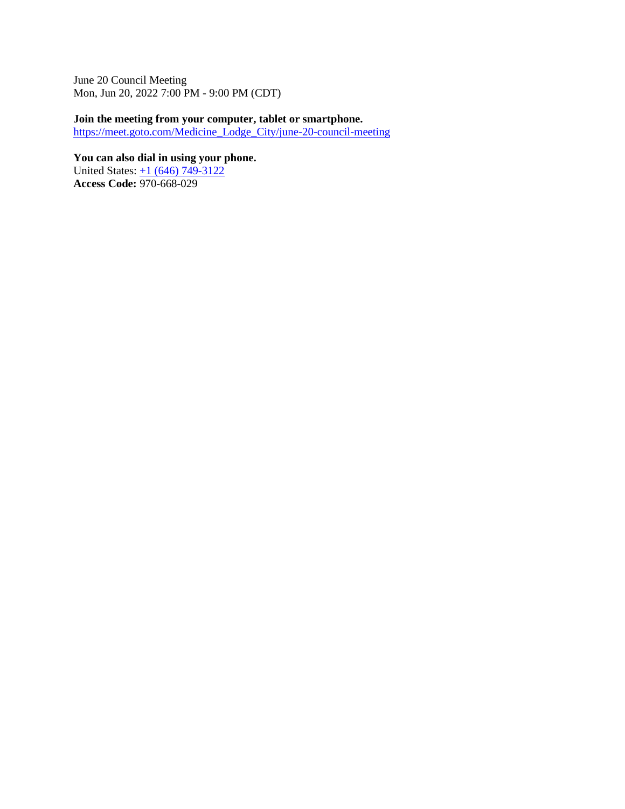June 20 Council Meeting Mon, Jun 20, 2022 7:00 PM - 9:00 PM (CDT)

**Join the meeting from your computer, tablet or smartphone.** 

[https://meet.goto.com/Medicine\\_Lodge\\_City/june-20-council-meeting](https://meet.goto.com/Medicine_Lodge_City/june-20-council-meeting)

**You can also dial in using your phone.** United States:  $\pm 1$  (646) 749-3122 **Access Code:** 970-668-029